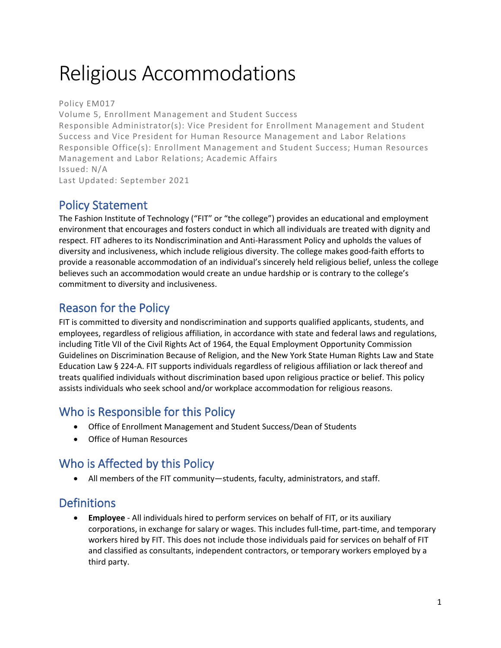# Religious Accommodations

Policy EM017 Volume 5, Enrollment Management and Student Success Responsible Administrator(s): Vice President for Enrollment Management and Student Success and Vice President for Human Resource Management and Labor Relations Responsible Office(s): Enrollment Management and Student Success; Human Resources Management and Labor Relations; Academic Affairs Issued: N/A Last Updated: September 2021

#### Policy Statement

The Fashion Institute of Technology ("FIT" or "the college") provides an educational and employment environment that encourages and fosters conduct in which all individuals are treated with dignity and respect. FIT adheres to its Nondiscrimination and Anti-Harassment Policy and upholds the values of diversity and inclusiveness, which include religious diversity. The college makes good-faith efforts to provide a reasonable accommodation of an individual's sincerely held religious belief, unless the college believes such an accommodation would create an undue hardship or is contrary to the college's commitment to diversity and inclusiveness.

### Reason for the Policy

FIT is committed to diversity and nondiscrimination and supports qualified applicants, students, and employees, regardless of religious affiliation, in accordance with state and federal laws and regulations, including Title VII of the Civil Rights Act of 1964, the Equal Employment Opportunity Commission Guidelines on Discrimination Because of Religion, and the New York State Human Rights Law and State Education Law § 224-A. FIT supports individuals regardless of religious affiliation or lack thereof and treats qualified individuals without discrimination based upon religious practice or belief. This policy assists individuals who seek school and/or workplace accommodation for religious reasons.

# Who is Responsible for this Policy

- Office of Enrollment Management and Student Success/Dean of Students
- Office of Human Resources

# Who is Affected by this Policy

• All members of the FIT community—students, faculty, administrators, and staff.

### **Definitions**

• **Employee** - All individuals hired to perform services on behalf of FIT, or its auxiliary corporations, in exchange for salary or wages. This includes full-time, part-time, and temporary workers hired by FIT. This does not include those individuals paid for services on behalf of FIT and classified as consultants, independent contractors, or temporary workers employed by a third party.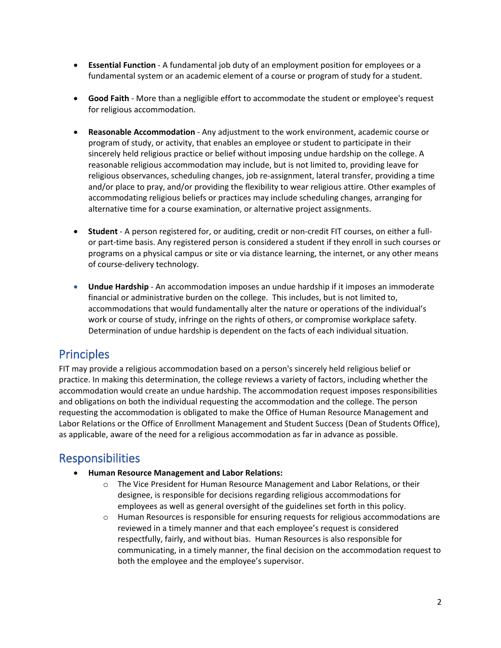- **Essential Function** A fundamental job duty of an employment position for employees or a fundamental system or an academic element of a course or program of study for a student.
- **Good Faith** More than a negligible effort to accommodate the student or employee's request for religious accommodation.
- **Reasonable Accommodation** Any adjustment to the work environment, academic course or program of study, or activity, that enables an employee or student to participate in their sincerely held religious practice or belief without imposing undue hardship on the college. A reasonable religious accommodation may include, but is not limited to, providing leave for religious observances, scheduling changes, job re-assignment, lateral transfer, providing a time and/or place to pray, and/or providing the flexibility to wear religious attire. Other examples of accommodating religious beliefs or practices may include scheduling changes, arranging for alternative time for a course examination, or alternative project assignments.
- **Student** A person registered for, or auditing, credit or non-credit FIT courses, on either a fullor part-time basis. Any registered person is considered a student if they enroll in such courses or programs on a physical campus or site or via distance learning, the internet, or any other means of course-delivery technology.
- **Undue Hardship** An accommodation imposes an undue hardship if it imposes an immoderate financial or administrative burden on the college. This includes, but is not limited to, accommodations that would fundamentally alter the nature or operations of the individual's work or course of study, infringe on the rights of others, or compromise workplace safety. Determination of undue hardship is dependent on the facts of each individual situation.

#### Principles

FIT may provide a religious accommodation based on a person's sincerely held religious belief or practice. In making this determination, the college reviews a variety of factors, including whether the accommodation would create an undue hardship. The accommodation request imposes responsibilities and obligations on both the individual requesting the accommodation and the college. The person requesting the accommodation is obligated to make the Office of Human Resource Management and Labor Relations or the Office of Enrollment Management and Student Success (Dean of Students Office), as applicable, aware of the need for a religious accommodation as far in advance as possible.

#### Responsibilities

- **Human Resource Management and Labor Relations:** 
	- o The Vice President for Human Resource Management and Labor Relations, or their designee, is responsible for decisions regarding religious accommodations for employees as well as general oversight of the guidelines set forth in this policy.
	- o Human Resources is responsible for ensuring requests for religious accommodations are reviewed in a timely manner and that each employee's request is considered respectfully, fairly, and without bias. Human Resources is also responsible for communicating, in a timely manner, the final decision on the accommodation request to both the employee and the employee's supervisor.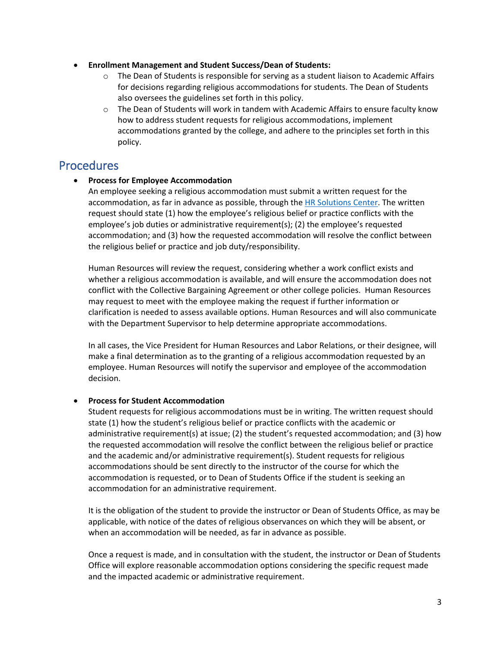- **Enrollment Management and Student Success/Dean of Students:**
	- o The Dean of Students is responsible for serving as a student liaison to Academic Affairs for decisions regarding religious accommodations for students. The Dean of Students also oversees the guidelines set forth in this policy.
	- $\circ$  The Dean of Students will work in tandem with Academic Affairs to ensure faculty know how to address student requests for religious accommodations, implement accommodations granted by the college, and adhere to the principles set forth in this policy.

#### **Procedures**

• **Process for Employee Accommodation**

An employee seeking a religious accommodation must submit a written request for the accommodation, as far in advance as possible, through the [HR Solutions Center.](https://app.smartsheet.com/b/form/51466cf793144994847961c6aca6ea6b) The written request should state (1) how the employee's religious belief or practice conflicts with the employee's job duties or administrative requirement(s); (2) the employee's requested accommodation; and (3) how the requested accommodation will resolve the conflict between the religious belief or practice and job duty/responsibility.

Human Resources will review the request, considering whether a work conflict exists and whether a religious accommodation is available, and will ensure the accommodation does not conflict with the Collective Bargaining Agreement or other college policies. Human Resources may request to meet with the employee making the request if further information or clarification is needed to assess available options. Human Resources and will also communicate with the Department Supervisor to help determine appropriate accommodations.

In all cases, the Vice President for Human Resources and Labor Relations, or their designee, will make a final determination as to the granting of a religious accommodation requested by an employee. Human Resources will notify the supervisor and employee of the accommodation decision.

#### • **Process for Student Accommodation**

Student requests for religious accommodations must be in writing. The written request should state (1) how the student's religious belief or practice conflicts with the academic or administrative requirement(s) at issue; (2) the student's requested accommodation; and (3) how the requested accommodation will resolve the conflict between the religious belief or practice and the academic and/or administrative requirement(s). Student requests for religious accommodations should be sent directly to the instructor of the course for which the accommodation is requested, or to Dean of Students Office if the student is seeking an accommodation for an administrative requirement.

It is the obligation of the student to provide the instructor or Dean of Students Office, as may be applicable, with notice of the dates of religious observances on which they will be absent, or when an accommodation will be needed, as far in advance as possible.

Once a request is made, and in consultation with the student, the instructor or Dean of Students Office will explore reasonable accommodation options considering the specific request made and the impacted academic or administrative requirement.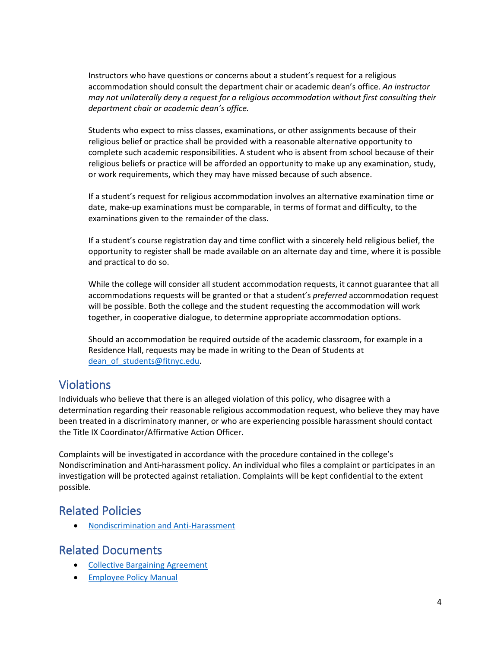Instructors who have questions or concerns about a student's request for a religious accommodation should consult the department chair or academic dean's office. *An instructor may not unilaterally deny a request for a religious accommodation without first consulting their department chair or academic dean's office.*

Students who expect to miss classes, examinations, or other assignments because of their religious belief or practice shall be provided with a reasonable alternative opportunity to complete such academic responsibilities. A student who is absent from school because of their religious beliefs or practice will be afforded an opportunity to make up any examination, study, or work requirements, which they may have missed because of such absence.

If a student's request for religious accommodation involves an alternative examination time or date, make-up examinations must be comparable, in terms of format and difficulty, to the examinations given to the remainder of the class.

If a student's course registration day and time conflict with a sincerely held religious belief, the opportunity to register shall be made available on an alternate day and time, where it is possible and practical to do so.

While the college will consider all student accommodation requests, it cannot guarantee that all accommodations requests will be granted or that a student's *preferred* accommodation request will be possible. Both the college and the student requesting the accommodation will work together, in cooperative dialogue, to determine appropriate accommodation options.

Should an accommodation be required outside of the academic classroom, for example in a Residence Hall, requests may be made in writing to the Dean of Students at dean of students@fitnyc.edu.

#### Violations

Individuals who believe that there is an alleged violation of this policy, who disagree with a determination regarding their reasonable religious accommodation request, who believe they may have been treated in a discriminatory manner, or who are experiencing possible harassment should contact the Title IX Coordinator/Affirmative Action Officer.

Complaints will be investigated in accordance with the procedure contained in the college's Nondiscrimination and Anti-harassment policy. An individual who files a complaint or participates in an investigation will be protected against retaliation. Complaints will be kept confidential to the extent possible.

#### Related Policies

• [Nondiscrimination and Anti-Harassment](http://www.fitnyc.edu/policies/college/nondiscrimination.php)

#### Related Documents

- [Collective Bargaining Agreement](http://www.fitnyc.edu/hr/current-employees/collective-bargaining-agreement.php)
- [Employee Policy Manual](http://www.fitnyc.edu/hr/current-employees/employee-policy-manual.php)